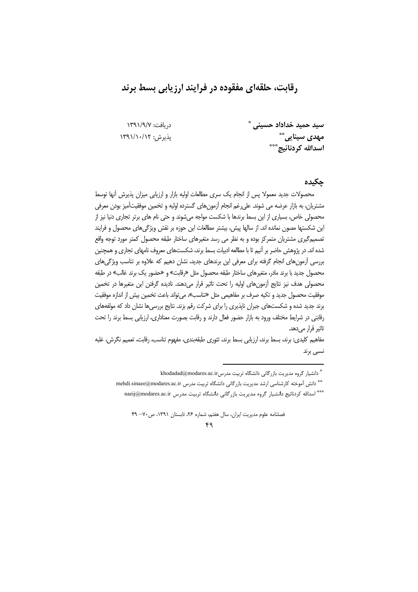# رقابت، حلقهای مفقوده در فرایند ارزیابی بسط برند

دريافت: ١٣٩١/٩/٧ يذيرش: ١٣٩١/١٠/١٢ سید حمید خداداد حسینی مهدی سینایی ٌ ٌ اسدالله کردنائیج\*\*\*

### حكىدە

محصولات جدید معمولا پس از انجام یک سری مطالعات اولیه بازار و ارزیابی میزان پذیرش آنها توسط مشتریان، به بازار عرضه می شوند. علی رغم انجام آزمونهای گسترده اولیه و تخمین موفقیتآمیز بودن معرفی محصولی خاص، بسیاری از این بسط برندها با شکست مواجه میشوند و حتی نام های برتر تجاری دنیا نیز از این شکستها مصون نمانده اند. از سالها پیش، بیشتر مطالعات این حوزه بر نقش ویژگی های محصول و فرایند تصمیمگیری مشتریان متمرکز بوده و به نظر می رسد متغیرهای ساختار طبقه محصول کمتر مورد توجه واقع شده اند. در پژوهش حاضر بر آنیم تا با مطالعه ادبیات بسط برند، شکستهای معروف نامهای تجاری و همچنین بررسی آزمون های انجام گرفته برای معرفی این برندهای جدید، نشان دهیم که علاوه بر تناسب ویژگی های محصول جدید با برند مادر، متغیرهای ساختار طبقه محصول مثل «رقابت» و «حضور یک برند غالب» در طبقه محصولی هدف نیز نتایج آزمونهای اولیه را تحت تاثیر قرار میدهند. نادیده گرفتن این متغیرها در تخمین موفقيت محصول جديد و تكيه صرف بر مفاهيمي مثل «تناسب»، مي تواند باعث تخمين بيش از اندازه موفقيت برند جدید شده و شکستهای جبران ناپذیری را برای شرکت رقم بزند. نتایج بررسیها نشان داد که مولفههای رقابتی در شرایط مختلف ورود به بازار حضور فعال دارند و رقابت بصورت معناداری، ارزیابی بسط برند را تحت تاثیر قرار مے ردھد۔

مفاهیم کلیدی: برند، بسط برند، ارزیابی بسط برند، تئوری طبقهبندی، مفهوم تناسب، رقابت، تعمیم نگرش، غلبه نسبی برند

<sup>\*</sup> دانشیار گروه مدیریت بازرگانی دانشگاه تربیت مدرسikhodadad@modares.ac.ir

<sup>\*\*</sup> دانش آموخته كارشناسي ارشد مديريت بازركاني دانشكاه تربيت مدرس mehdi.sinaee@modares.ac.ir

<sup>\*\*\*</sup> اسدالله كردنائيج دانشيار گروه مديريت بازرگاني دانشگاه تربيت مدرس naeij@modares.ac.ir

فصلنامه علوم مدیریت ایران، سال هفتم، شماره ۲۶، تابستان (۱۳۹۱، ص-۷۰–۴۹

 $f$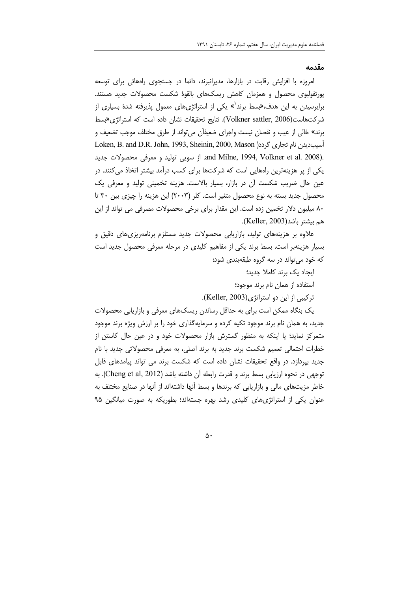#### مقدمه

امروزه با افزایش رقابت در بازارها، مدیرانبرند، دائما در جستجوی راههائی برای توسعه پورتفولیوی محصول و همزمان کاهش ریسک&ای بالقوهٔ شکست محصولات جدید هستند. برایرسیدن به این هدف،«بسط برند<sup>'</sup>» یکی از استراتژیهای معمول پذیرفته شدهٔ بسیاری از شركت هاست (Volkner sattler, 2006). نتايج تحقيقات نشان داده است كه استراتژي «بسط برند» خالي از عيب و نقصان نيست واجراي ضعيفان مي¤واند از طرق مختلف موجب تضعيف و Loken, B. and D.R. John, 1993, Sheinin, 2000, Mason آسیبدیدن نام تجاری گردد( .and Milne, 1994, Volkner et al. 2008). از سویی تولید و معرفی محصولات جدید یکی از پر هزینهترین رامهایی است که شرکتها برای کسب درآمد بیشتر اتخاذ میکنند. در عین حال ضریب شکست آن در بازار، بسیار بالاست. هزینه تخمینی تولید و معرفی یک محصول جدید بسته به نوع محصول متغیر است. کلر (۲۰۰۳) این هزینه را چیزی بین ۳۰ تا ۸۰ میلیون دلار تخمین زده است. این مقدار برای برخی محصولات مصرفی می تواند از این هم بيشتر باشد(Keller, 2003).

علاوه بر هزینههای تولید، بازاریابی محصولات جدید مستلزم برنامهریزیهای دقیق و بسیار هزینهبر است. بسط برند یکی از مفاهیم کلیدی در مرحله معرفی محصول جدید است که خود می تواند در سه گروه طبقهبندی شود:

ایجاد یک برند کاملا جدید؛

استفاده از همان نام برند موجود؛

تركيبي از اين دو استراتژي(Keller, 2003).

یک بنگاه ممکن است برای به حداقل رساندن ریسکهای معرفی و بازاریابی محصولات جدید، به همان نام برند موجود تکیه کرده و سرمایهگذاری خود را بر ارزش ویژه برند موجود متمرکز نماید؛ یا اینکه به منظور گسترش بازار محصولات خود و در عین حال کاستن از خطرات احتمالی تعمیم شکست برند جدید به برند اصلی، به معرفی محصولاتی جدید با نام جدید بیردازد. در واقع تحقیقات نشان داده است که شکست برند می تواند پیامدهای قابل توجهي در نحوه ارزيابي بسط برند و قدرت رابطه آن داشته باشد (Cheng et al, 2012). به خاطر مزیتهای مالی و بازاریابی که برندها و بسط آنها داشتهاند از آنها در صنایع مختلف به عنوان یکی از استراتژیهای کلیدی رشد بهره جستهاند؛ بطوریکه به صورت میانگین ۹۵

 $\Delta \cdot$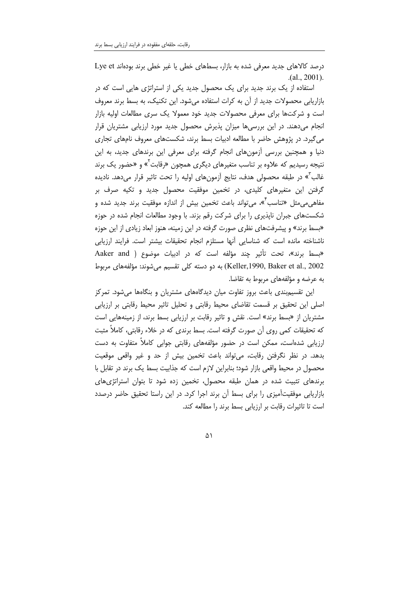درصد كالاهاى جديد معرفى شده به بازار، بسطهاى خطى يا غير خطى برند بودهاند Lye et  $(a1, 2001)$ .

استفاده از یک برند جدید برای یک محصول جدید یکی از استراتژی هایی است که در بازاریابی محصولات جدید از آن به کرات استفاده میشود. این تکنیک، به بسط برند معروف است و شرکتها برای معرفی محصولات جدید خود معمولا یک سری مطالعات اولیه بازار انجام می دهند. در این بررسی ها میزان پذیرش محصول جدید مورد ارزیابی مشتریان قرار می گیرد. در پژوهش حاضر با مطالعه ادبیات بسط برند، شکستهای معروف نامهای تجاری دنیا و همچنین بررسی آزمونهای انجام گرفته برای معرفی این برندهای جدید، به این نتیجه رسیدیم که علاوه بر تناسب متغیرهای دیگری همچون «رقابت<sup>۲</sup>» و «حضور یک برند غالب<sup>7</sup>» در طبقه محصولی هدف، نتایج آزمونهای اولیه را تحت تاثیر قرار میدهد. نادیده گرفتن این متغیرهای کلیدی، در تخمین موفقیت محصول جدید و تکیه صرف بر مفاهے مے مثل «تناسب<sup>7</sup>»، مے تواند باعث تخمین بیش از اندازہ موفقیت برند جدید شدہ و شکستهای جبران ناپذیری را برای شرکت رقم بزند. با وجود مطالعات انجام شده در حوزه «بسط برند» و پیشرفتهای نظری صورت گرفته در این زمینه، هنوز ابعاد زیادی از این حوزه ناشناخته مانده است که شناسایی أنها مستلزم انجام تحقیقات بیشتر است. فرایند ارزیابی «بسط برند»، تحت تأثير چند مؤلفه است كه در ادبيات موضوع ( Aaker and Keller,1990, Baker et al., 2002) به دو دسته کلی تقسیم می شوند: مؤلفههای مربوط به عرضه و مؤلفههای مربوط به تقاضا.

این تقسیم:بندی باعث بروز تفاوت میان دیدگاههای مشتریان و بنگاهها میشود. تمرکز اصلی این تحقیق بر قسمت تقاضای محیط رقابتی و تحلیل تاثیر محیط رقابتی بر ارزیابی مشتریان از «بسط برند» است. نقش و تاثیر رقابت بر ارزیابی بسط برند، از زمینههایی است که تحقیقات کمی روی آن صورت گرفته است. بسط برندی که در خلاء رقابتی، کاملاً مثبت ارزیابی شدهاست، ممکن است در حضور مؤلفههای رقابتی جوابی کاملاً متفاوت به دست بدهد. در نظر نگرفتن رقابت، می¤واند باعث تخمین بیش از حد و غیر واقعی موقعیت محصول در محیط واقعی بازار شود؛ بنابراین لازم است که جذابیت بسط یک برند در تقابل با برندهای تثبیت شده در همان طبقه محصول، تخمین زده شود تا بتوان استراتژیهای بازاریابی موفقیتآمیزی را برای بسط آن برند اجرا کرد. در این راستا تحقیق حاضر درصدد است تا تاثیرات رقابت بر ارزیابی بسط برند را مطالعه کند.

 $\Delta$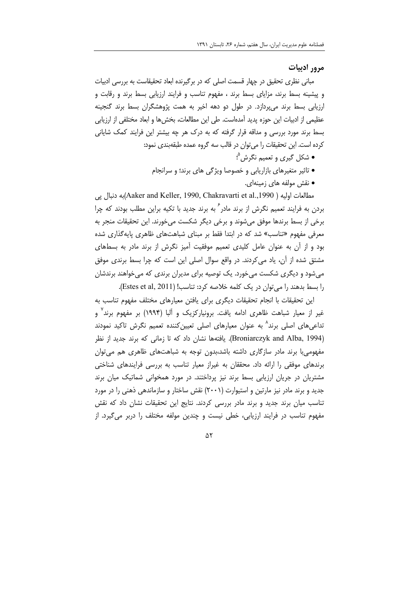مرور ادبیات

مبانی نظری تحقیق در چهار قسمت اصلی که در برگیرنده ابعاد تحقیقاست به بررسی ادبیات و پیشینه بسط برند، مزایای بسط برند ، مفهوم تناسب و فرایند ارزیابی بسط برند و رقابت و ارزیابی بسط برند می پردازد. در طول دو دهه اخیر به همت پژوهشگران بسط برند گنجینه عظیمی از ادبیات این حوزه پدید آمدهاست. طی این مطالعات، بخش ها و ابعاد مختلفی از ارزیابی بسط برند مورد بررسی و مداقه قرار گرفته که به درک هر چه بیشتر این فرایند کمک شایانی كرده است. اين تحقيقات را مي توان در قالب سه گروه عمده طبقهبندي نمود:

- شکل گیری و تعمیم نگرش<sup>0</sup>؛
- تاثیر متغیرهای بازاریابی و خصوصا ویژگی های برند؛ و سرانجام
	- نقش مولفه های زمینهای.

مطالعات اوليه ( Aaker and Keller, 1990, Chakravarti et al.,1990)به دنبال يي بردن به فرایند تعمیم نگرش از برند مادر<sup>۶</sup> به برند جدید با تکیه براین مطلب بودند که چرا برخی از بسط برندها موفق میشوند و برخی دیگر شکست میخورند. این تحقیقات منجر به معرفی مفهوم «تناسب» شد که در ابتدا فقط بر مبنای شباهتهای ظاهری پایهگذاری شده بود و از آن به عنوان عامل کلیدی تعمیم موفقیت آمیز نگرش از برند مادر به بسطهای مشتق شده از آن، یاد می کردند. در واقع سوال اصلی این است که چرا بسط برندی موفق می شود و دیگری شکست می خورد. یک توصیه برای مدیران برندی که می خواهند برندشان را بسط بدهند را می توان در یک کلمه خلاصه کرد: تناسب! (Estes et al, 2011).

این تحقیقات با انجام تحقیقات دیگری برای یافتن معیارهای مختلف مفهوم تناسب به غیر از معیار شباهت ظاهری ادامه یافت. برونیارکزیک و آلبا (۱۹۹۴) بر مفهوم برند<sup>۷</sup> و تداعیهای اصلی برند^ به عنوان معیارهای اصلی تعیینکننده تعمیم نگرش تاکید نمودند (Broniarczyk and Alba, 1994). یافتهها نشان داد که تا زمانی که برند جدید از نظر مفهومی با برند مادر سازگاری داشته باشد،بدون توجه به شباهتهای ظاهری هم می توان برندهای موفقی را ارائه داد. محققان به غیراز معیار تناسب به بررسی فرایندهای شناختی مشتریان در جریان ارزیابی بسط برند نیز پرداختند. در مورد همخوانی شماتیک میان برند جدید و برند مادر نیز مارتین و استیوارت (۲۰۰۱) نقش ساختار و سازماندهی ذهنی را در مورد تناسب میان برند جدید و برند مادر بررسی کردند. نتایج این تحقیقات نشان داد که نقش مفهوم تناسب در فرایند ارزیابی، خطی نیست و چندین مولفه مختلف را دربر میگیرد. از

 $\Delta Y$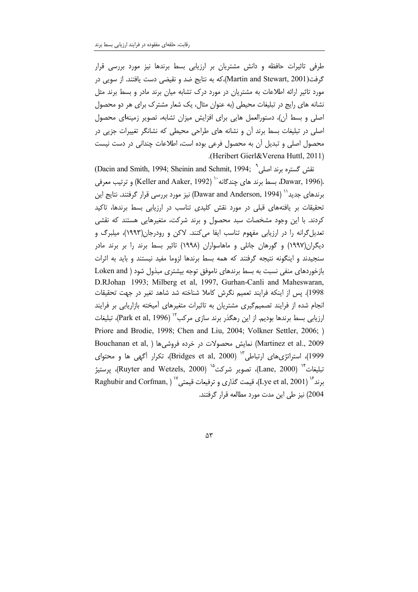طرفی تاثیرات حافظه و دانش مشتریان بر ارزیابی بسط برندها نیز مورد بررسی قرار گرفت(Martin and Stewart, 2001)،كه به نتايج ضد و نقيضي دست يافتند. از سويي در مورد تاثیر ارائه اطلاعات به مشتریان در مورد درک تشابه میان برند مادر و بسط برند مثل نشانه های رایج در تبلیغات محیطی (به عنوان مثال، یک شعار مشترک برای هر دو محصول اصلی و بسط آن)، دستورالعمل هایی برای افزایش میزان تشابه، تصویر زمینهای محصول اصلی در تبلیغات بسط برند آن و نشانه های طراحی محیطی که نشانگر تغییرات جزیی در محصول اصلی و تبدیل آن به محصول فرعی بوده است، اطلاعات چندانی در دست نیست .(Heribert Gierl&Verena Huttl, 2011)

نقش گستره برند اصلی<sup>^</sup> ;Dacin and Smith, 1994) (Dacin and Smith, 1994) و ترتيب معرفي (Keller and Aaker, 1992) " بسط برند هاي جندگانه (Keller and Aaker, 1992). برندهای جدید'' (Dawar and Anderson, 1994) نیز مورد بررسی قرار گرفتند. نتایج این تحقیقات بر یافتههای قبلی در مورد نقش کلیدی تناسب در ارزیابی بسط برندها، تاکید کردند. با این وجود مشخصات سبد محصول و برند شرکت، متغیرهایی هستند که نقشی تعدیل گرانه را در ارزیابی مفهوم تناسب ایفا میکنند. لاکن و رودرجان(۱۹۹۳)، میلبرگ و دیگران(۱۹۹۷) و گورهان جانلی و ماهاسواران (۱۹۹۸) تاثیر بسط برند را بر برند مادر سنجیدند و اینگونه نتیجه گرفتند که همه بسط برندها لزوما مفید نیستند و باید به اثرات بازخوردهای منفی نسبت به بسط برندهای ناموفق توجه بیشتری مبذول شود ( Loken and D.RJohan 1993; Milberg et al. 1997. Gurhan-Canli and Maheswaran, 1998). يس از اينكه فرايند تعميم نگرش كاملا شناخته شد شاهد تغير در جهت تحقيقات انجام شده از فرایند تصمیمگیری مشتریان به تاثیرات متغیرهای آمیخته بازاریابی بر فرایند ارزیابی بسط برندها بودیم. از این رهگذر برند سازی مرکب" (Park et al, 1996)، تبلیغات Priore and Brodie, 1998; Chen and Liu, 2004; Volkner Settler, 2006; ) Bouchanan et al., 2009) نمایش محصولات در خرده فروشی ها ( Bouchanan et al, 1999)، استراتژی های ارتباطی ۱۳ (Bridges et al, 2000)، تکرار آگهی ها و محتوای تبليغات<sup>14</sup> (Lane, 2000)، تصوير شركت<sup>10</sup> (Ruyter and Wetzels, 2000)، يرستيژ Raghubir and Corfman, ) بزند (Lye et al, 2001). قيمت گذاري و ترفيعات قيمتي 2004) نیز طی این مدت مورد مطالعه قرار گرفتند.

 $\Delta \mathbf{r}$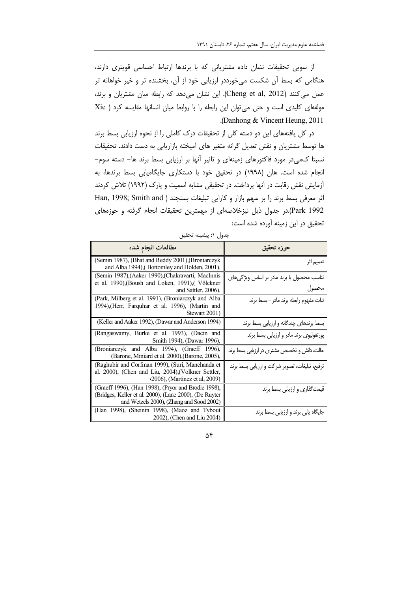از سویی تحقیقات نشان داده مشتریانی که با برندها ارتباط احساسی قویتری دارند، هنگامی که بسط آن شکست میخورددر ارزیابی خود از آن، بخشنده تر و خیر خواهانه تر عمل می کنند (Cheng et al, 2012). این نشان می دهد که رابطه میان مشتریان و برند، مولفهای کلیدی است و حتی می توان این رابطه را با روابط میان انسانها مقایسه کرد ( Xie .(Danhong & Vincent Heung, 2011)

در کل یافتههای این دو دسته کلی از تحقیقات درک کاملی را از نحوه ارزیابی بسط برند ها توسط مشتریان و نقش تعدیل گرانه متغیر های آمیخته بازاریابی به دست دادند. تحقیقات نسبتا کمی در مورد فاکتورهای زمینهای و تاثیر آنها بر ارزیابی بسط برند ها– دسته سوم– انجام شده است. هان (١٩٩٨) در تحقيق خود با دستكارى جايگاهيابي بسط برندها، به آزمایش نقش رقابت در آنها پرداخت. در تحقیقی مشابه اسمیت و پارک (۱۹۹۲) تلاش کردند اثر معرفی بسط برند را بر سهم بازار و کارایی تبلیغات بسنجند ( Han, 1998; Smith and Park 1992.در جدول ذیل نیزخلاصهای از مهمترین تحقیقات انجام گرفته و حوزههای تحقیق در این زمینه آورده شده است:

| بعرن سيسيد مصين                                                                                                                                           |                                                    |  |  |  |
|-----------------------------------------------------------------------------------------------------------------------------------------------------------|----------------------------------------------------|--|--|--|
| مطالعات انجام شده                                                                                                                                         | حوزه تحقيق                                         |  |  |  |
| (Semin 1987), (Bhat and Reddy 2001), (Broniarczyk<br>and Alba 1994), (Bottomley and Holden, 2001).                                                        | تعميم اثر                                          |  |  |  |
| (Semin 1987), (Aaker 1990), (Chakravarti, MacInnis<br>et al. 1990), (Boush and Loken, 1991), (Völckner<br>and Sattler, 2006).                             | تناسب محصول با برند مادر بر اساس ویژگیهای<br>محصول |  |  |  |
| (Park, Milberg et al. 1991), (Broniarczyk and Alba<br>1994), (Herr, Farquhar et al. 1996), (Martin and<br>Stewart 2001)                                   | ثبات مفهوم رابطه برند مادر–بسط برند                |  |  |  |
| (Keller and Aaker 1992), (Dawar and Anderson 1994)                                                                                                        | بسط برندهای چندگانه و ارزیابی بسط برند             |  |  |  |
| (Rangaswamy, Burke et al. 1993), (Dacin and<br>Smith 1994), (Dawar 1996),                                                                                 | پورتفولیوی برند مادر و ارزیابی بسط برند            |  |  |  |
| (Broniarczyk and Alba 1994), (Graeff 1996),<br>(Barone, Miniard et al. 2000), (Barone, 2005),                                                             | حالت، دانش و تخصص مشتری در ارزیابی بسط برند        |  |  |  |
| (Raghubir and Corfman 1999), (Suri, Manchanda et<br>al. 2000), (Chen and Liu, 2004), (Volkner Settler,<br>(2006), (Martinez et al, 2009)                  | ترفیع، تبلیغات، تصویر شرکت و ارزیابی بسط برند      |  |  |  |
| (Graeff 1996), (Han 1998), (Pryor and Brodie 1998),<br>(Bridges, Keller et al. 2000), (Lane 2000), (De Ruyter<br>and Wetzels 2000), (Zhang and Sood 2002) | قیمتگذاری و ارزیابی بسط برند                       |  |  |  |
| (Han 1998), (Sheinin 1998), (Maoz and Tybout<br>2002), (Chen and Liu 2004)                                                                                | جایگاه یابی برند و ارزیابی بسط برند                |  |  |  |

حدول ١: يشينه تحقيق

 $\Delta \mathbf{f}$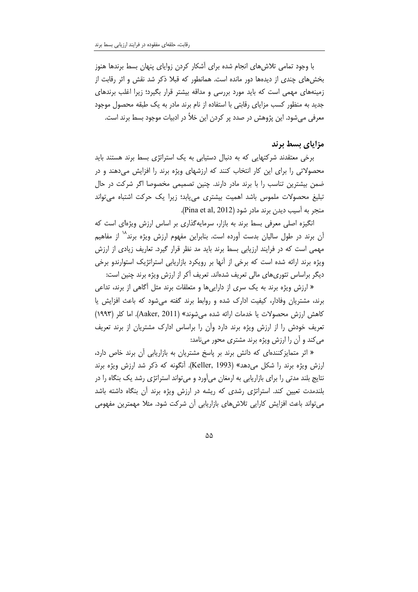با وجود تمامی تلاش های انجام شده برای آشکار کردن زوایای پنهان بسط برندها هنوز بخشهای چندی از دیدهها دور مانده است. همانطور که قبلا ذکر شد نقش و اثر رقابت از زمینههای مهمی است که باید مورد بررسی و مداقه بیشتر قرار بگیرد؛ زیرا اغلب برندهای جدید به منظور کسب مزایای رقابتی با استفاده از نام برند مادر به یک طبقه محصول موجود معرفی میشود. این پژوهش در صدد پر کردن این خلأ در ادبیات موجود بسط برند است.

### مزایای بسط برند

برخی معتقدند شرکتهایی که به دنبال دستیابی به یک استراتژی بسط برند هستند باید محصولاتی را برای این کار انتخاب کنند که ارزشهای ویژه برند را افزایش میدهند و در ضمن بیشترین تناسب را با برند مادر دارند. چنین تصمیمی مخصوصا اگر شرکت در حال تبلیغ محصولات ملموس باشد اهمیت بیشتری می یابد؛ زیرا یک حرکت اشتباه می تواند منجر به آسیب دیدن برند مادر شود (Pina et al, 2012).

انگیزه اصلی معرفی بسط برند به بازار، سرمایهگذاری بر اساس ارزش ویژهای است که آن برند در طول سالیان بدست آورده است. بنابراین مفهوم ارزش ویژه برند<sup>۱۸</sup> از مفاهیم مهمی است که در فرایند ارزیابی بسط برند باید مد نظر قرار گیرد. تعاریف زیادی از ارزش ویژه برند ارائه شده است که برخی از آنها بر رویکرد بازاریابی استراتژیک استوارندو برخی دیگر براساس تئوریهای مالی تعریف شدهاند. تعریف آکر از ارزش ویژه برند چنین است:

« ارزش ویژه برند به یک سری از داراییها و متعلقات برند مثل آگاهی از برند، تداعی برند، مشتریان وفادار، کیفیت ادارک شده و روابط برند گفته می شود که باعث افزایش یا كاهش ارزش محصولات يا خدمات ارائه شده مي شوند» (Aaker, 2011). اما كلر (١٩٩٣) تعریف خودش را از ارزش ویژه برند دارد وآن را براساس ادارک مشتریان از برند تعریف می کند و آن را ارزش ویژه برند مشتری محور مینامد:

« اثر متمایزکنندهای که دانش برند بر پاسخ مشتریان به بازاریابی آن برند خاص دارد، ارزش ویژه برند را شکل می دهد» (Keller, 1993). آنگونه که ذکر شد ارزش ویژه برند نتایج بلند مدتی را برای بازاریابی به ارمغان میأورد و میتواند استراتژی رشد یک بنگاه را در بلندمدت تعیین کند. استراتژی رشدی که ریشه در ارزش ویژه برند آن بنگاه داشته باشد میتواند باعث افزایش کارایی تلاشهای بازاریابی آن شرکت شود. مثلا مهمترین مفهومی

 $\Delta\Delta$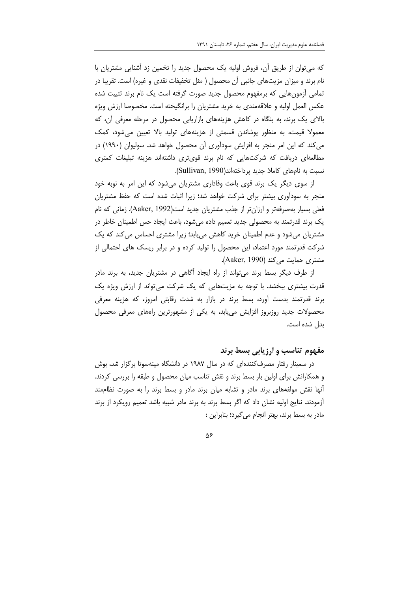که می توان از طریق آن، فروش اولیه یک محصول جدید را تخمین زد آشنایی مشتریان با نام برند و میزان مزیتهای جانبی آن محصول ( مثل تخفیفات نقدی و غیره) است. تقریبا در تمامی ازمونهایی که برمفهوم محصول جدید صورت گرفته است یک نام برند تثبیت شده عکس العمل اولیه و علاقهمندی به خرید مشتریان را برانگیخته است. مخصوصا ارزش ویژه بالای یک برند، به بنگاه در کاهش هزینههای بازاریابی محصول در مرحله معرفی آن، که معمولا قیمت، به منظور پوشاندن قسمتی از هزینههای تولید بالا تعیین میشود، کمک می کند که این امر منجر به افزایش سودآوری آن محصول خواهد شد. سولیوان (۱۹۹۰) در مطالعهای دریافت که شرکتهایی که نام برند قویتری داشتهاند هزینه تبلیغات کمتری نسبت به نامهای کاملا جدید پرداختهاند(Sullivan, 1990).

از سوی دیگر یک برند قوی باعث وفاداری مشتریان میشود که این امر به نوبه خود منجر به سودآوری بیشتر برای شرکت خواهد شد؛ زیرا اثبات شده است که حفظ مشتریان فعلی بسیار بهصرفهتر و ارزانتر از جذب مشتریان جدید است(Aaker, 1992). زمانی که نام یک برند قدرتمند به محصولی جدید تعمیم داده می شود، باعث ایجاد حس اطمینان خاطر در مشتریان میشود و عدم اطمینان خرید کاهش می یابد؛ زیرا مشتری احساس می کند که یک شرکت قدرتمند مورد اعتماد، این محصول را تولید کرده و در برابر ریسک های احتمالی از مشتری حمایت می کند (Aaker, 1990).

از طرف دیگر بسط برند می تواند از راه ایجاد آگاهی در مشتریان جدید، به برند مادر قدرت بیشتری ببخشد. با توجه به مزیتهایی که یک شرکت میتواند از ارزش ویژه یک برند قدرتمند بدست آورد، بسط برند در بازار به شدت رقابتی امروز، که هزینه معرفی محصولات جدید روزبروز افزایش مییابد، به یکی از مشهورترین راههای معرفی محصول بدل شده است.

### مفهوم تناسب و ارزيابي بسط برند

در سمینار رفتار مصرف کنندهای که در سال ۱۹۸۷ در دانشگاه مینهسوتا برگزار شد، بوش و همکارانش برای اولین بار بسط برند و نقش تناسب میان محصول و طبقه را بررسی کردند. آنها نقش مولفههای برند مادر و تشابه میان برند مادر و بسط برند را به صورت نظاممند أزمودند. نتايج اوليه نشان داد كه اگر بسط برند به برند مادر شبيه باشد تعميم رويكرد از برند مادر به بسط برند، بهتر انجام می گیرد؛ بنابراین :

 $\Delta \xi$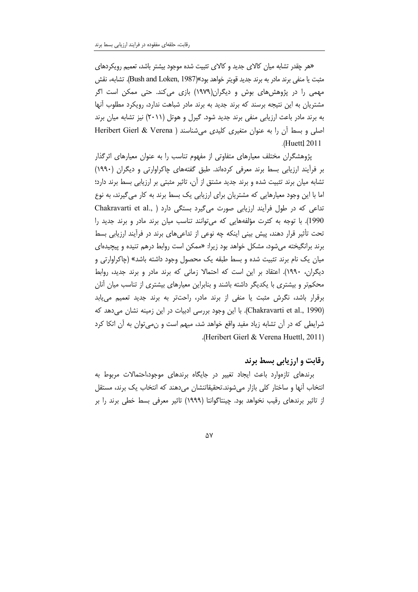«هر چقدر تشابه میان کالای جدید و کالای تثبیت شده موجود بیشتر باشد، تعمیم رویکردهای مثبت یا منفی برند مادر به برند جدید قویتر خواهد بود%(Bush and Loken, 1987). تشابه، نقش مهمی را در پژوهش های بوش و دیگران(۱۹۷۹) بازی می کند. حتی ممکن است اگر مشتریان به این نتیجه برسند که برند جدید به برند مادر شباهت ندارد، رویکرد مطلوب آنها به برند مادر باعث ارزیابی منفی برند جدید شود. گیرل و هوتل (۲۰۱۱) نیز تشابه میان برند اصلی و بسط آن را به عنوان متغیری کلیدی می شناسند ( Heribert Gierl & Verena .(Huettl 2011)

پژوهشگران مختلف معیارهای متفاوتی از مفهوم تناسب را به عنوان معیارهای اثرگذار بر فرأيند ارزيابي بسط برند معرفي كردهاند. طبق گفتههاي چاكراوارتي و ديگران (١٩٩٠) تشابه میان برند تثبیت شده و برند جدید مشتق از آن، تاثیر مثبتی بر ارزیابی بسط برند دارد؛ اما با این وجود معیارهایی که مشتریان برای ارزیابی یک بسط برند به کار میگیرند، به نوع تداعی که در طول فرآیند ارزیابی صورت می گیرد بستگی دارد ( ,Chakravarti et al 1990). با توجه به كثرت مؤلفههايي كه مي توانند تناسب ميان برند مادر و برند جديد را تحت تأثیر قرار دهند، پیش بینی اینکه چه نوعی از تداعیهای برند در فرآیند ارزیابی بسط برند برانگیخته می شود، مشکل خواهد بود زیرا: «ممکن است روابط درهم تنیده و پیچیدها*ی* میان یک نام برند تثبیت شده و بسط طبقه یک محصول وجود داشته باشد» (چاکراوارتی و دیگران، ۱۹۹۰). اعتقاد بر این است که احتمالا زمانی که برند مادر و برند جدید، روابط محکمتر و بیشتری با یکدیگر داشته باشند و بنابراین معیارهای بیشتری از تناسب میان آنان برقرار باشد، نگرش مثبت یا منفی از برند مادر، راحتتر به برند جدید تعمیم می بابد (Chakravarti et al., 1990). با این وجود بررسی ادبیات در این زمینه نشان می دهد که شرایطی که در آن تشابه زیاد مفید واقع خواهد شد، مبهم است و نمی توان به آن اتکا کرد .(Heribert Gierl & Verena Huettl, 2011).

# رقابت و ارزیابی بسط برند

برندهای تازهوارد باعث ایجاد تغییر در جایگاه برندهای موجود،احتمالات مربوط به انتخاب أنها و ساختار كلي بازار مي شوند.تحقيقاتنشان مي دهند كه انتخاب يک برند، مستقل از تاثیر برندهای رقیب نخواهد بود. چینتاگوانتا (۱۹۹۹) تاثیر معرفی بسط خطی برند را بر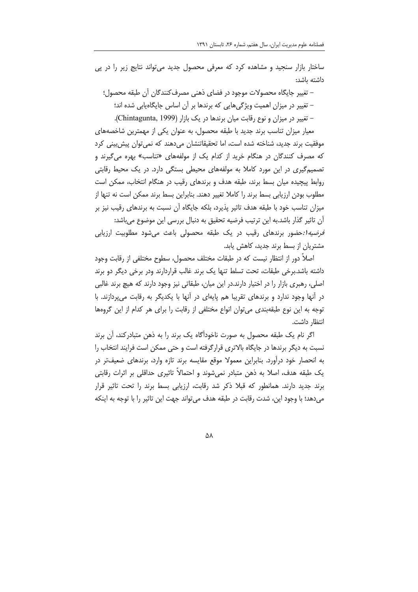ساختار بازار سنجید و مشاهده کرد که معرفی محصول جدید میتواند نتایج زیر را در پی داشته باشد:

– تغییر جایگاه محصولات موجود در فضای ذهنی مصرف کنندگان آن طبقه محصول؛ – تغییر در میزان اهمیت ویژگیهایی که برندها بر آن اساس جایگاهیابی شده اند؛ - تغییر در میزان و نوع رقابت میان برندها در یک بازار (Chintagunta, 1999).

معیار میزان تناسب برند جدید با طبقه محصول، به عنوان یکی از مهمترین شاخصههای موفقیت برند جدید، شناخته شده است، اما تحقیقاتنشان میدهند که نمیٍتوان پیش بینی کرد که مصرف کنندگان در هنگام خرید از کدام یک از مولفههای «تناسب» بهره میگیرند و تصمیم گیری در این مورد کاملا به مولفههای محیطی بستگی دارد. در یک محیط رقابتی روابط پیچیده میان بسط برند، طبقه هدف و برندهای رقیب در هنگام انتخاب، ممکن است مطلوب بودن ارزیابی بسط برند را کاملا تغییر دهند. بنابراین بسط برند ممکن است نه تنها از میزان تناسب خود با طبقه هدف تاثیر پذیرد، بلکه جایگاه آن نسبت به برندهای رقیب نیز بر آن تاثیر گذار باشد.به این ترتیب فرضیه تحقیق به دنبال بررسی این موضوع میباشد:

*فرضیه ۱: ح*ضور برندهای رقیب در یک طبقه محصولی باعث می شود مطلوبیت ارزیابی مشتریان از بسط برند جدید، کاهش یابد.

اصلاً دور از انتظار نیست که در طبقات مختلف محصول، سطوح مختلفی از رقابت وجود داشته باشد.برخی طبقات، تحت تسلط تنها یک برند غالب قراردارند ودر برخی دیگر دو برند اصلی، رهبری بازار را در اختیار دارند.در این میان، طبقاتی نیز وجود دارند که هیچ برند غالبی در اّنها وجود ندارد و برندهای تقریبا هم پایهای در اّنها با یکدیگر به رقابت می پردازند. با توجه به این نوع طبقهبندی می توان انواع مختلفی از رقابت را برای هر کدام از این گروهها انتظار داشت.

اگر نام یک طبقه محصول به صورت ناخودآگاه یک برند را به ذهن متبادرکند، آن برند نسبت به دیگر برندها در جایگاه بالاتری قرارگرفته است و حتی ممکن است فرایند انتخاب را به انحصار خود درآورد. بنابراین معمولا موقع مقایسه برند تازه وارد، برندهای ضعیفتر در یک طبقه هدف، اصلا به ذهن متبادر نمی شوند و احتمالاً تاثیری حداقلی بر اثرات رقابتی برند جدید دارند. همانطور که قبلا ذکر شد رقابت، ارزیابی بسط برند را تحت تاثیر قرار میدهد؛ با وجود این، شدت رقابت در طبقه هدف می تواند جهت این تاثیر را با توجه به اینکه

 $\Delta\lambda$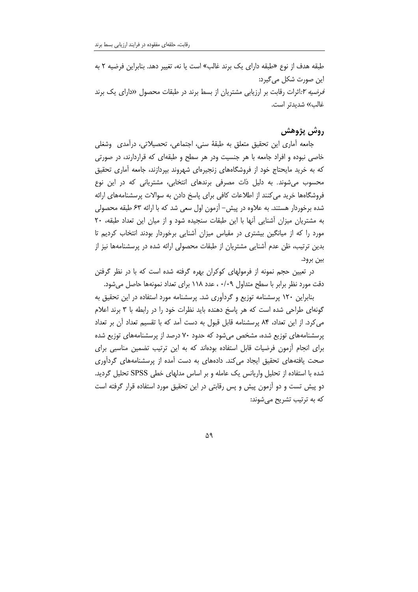طبقه هدف از نوع «طبقه دارای یک برند غالب» است یا نه، تغییر دهد. بنابراین فرضیه ۲ به این صورت شکل م*ی گ*یرد: قرضیه r:اثرات رقابت بر ارزیابی مشتریان از بسط برند در طبقات محصول «دارای یک برند غالب» شديدتر است.

## روش پژوهش

جامعه أماري اين تحقيق متعلق به طبقهٔ سني، اجتماعي، تحصيلاتي، درأمدي ۖ وشغلي خاصی نبوده و افراد جامعه با هر جنسیت ودر هر سطح و طبقهای که قراردارند، در صورتی که به خرید مایحتاج خود از فروشگاههای زنجیرهای شهروند بپردازند، جامعه أماری تحقیق محسوب میشوند. به دلیل ذات مصرفی برندهای انتخابی، مشتریانی که در این نوع فروشگاهها خرید می کنند از اطلاعات کافی برای پاسخ دادن به سوالات پرسشنامههای ارائه شده برخوردار هستند. به علاوه در پیش– آزمون اول سعی شد که با ارائه ۶۳ طبقه محصولی به مشتریان میزان آشنایی آنها با این طبقات سنجیده شود و از میان این تعداد طبقه، ۲۰ مورد را که از میانگین بیشتری در مقیاس میزان آشنایی برخوردار بودند انتخاب کردیم تا بدین ترتیب، ظن عدم آشنایی مشتریان از طبقات محصولی ارائه شده در پرسشنامهها نیز از بين برود.

در تعیین حجم نمونه از فرمولهای کوکران بهره گرفته شده است که با در نظر گرفتن دقت مورد نظر برابر با سطح متداول ۰/۰۹ ، عدد ۱۱۸ برای تعداد نمونهها حاصل میشود.

بنابراین ۱۲۰ پرسشنامه توزیع و گردآوری شد. پرسشنامه مورد استفاده در این تحقیق به گونهای طراحی شده است که هر پاسخ دهنده باید نظرات خود را در رابطه با ۳ برند اعلام می کرد. از این تعداد، ۸۴ پرسشنامه قابل قبول به دست آمد که با تقسیم تعداد آن بر تعداد پرسشنامههای توزیع شده، مشخص میشود که حدود ۷۰ درصد از پرسشنامههای توزیع شده برای انجام اّزمون فرضیات قابل استفاده بودهاند که به این ترتیب تضمین مناسبی برای صحت یافتههای تحقیق ایجاد میکند. دادههای به دست آمده از پرسشنامههای گردآوری شده با استفاده از تحلیل واریانس یک عامله و بر اساس مدلهای خطی SPSS تحلیل گردید. دو پیش تست و دو آزمون پیش و پس رقابتی در این تحقیق مورد استفاده قرار گرفته است که به ترتیب تشریح مے شوند:

Δ٩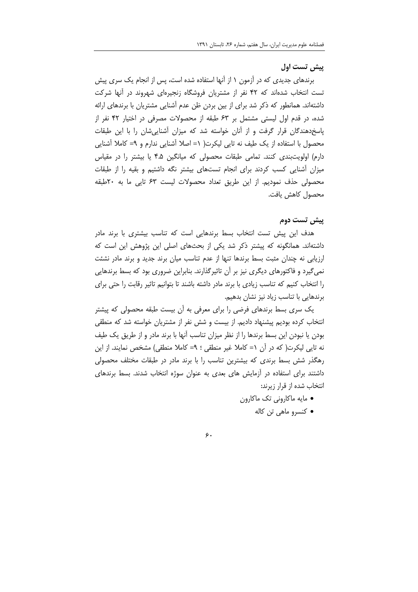### پیش تست اول

برندهای جدیدی که در اّزمون ۱ از آنها استفاده شده است، پس از انجام یک سری پیش تست انتخاب شدهاند که ۴۲ نفر از مشتریان فروشگاه زنجیرهای شهروند در آنها شرکت داشتهاند. همانطور که ذکر شد برای از بین بردن ظن عدم آشنایی مشتریان با برندهای ارائه شده، در قدم اول لیستی مشتمل بر ۶۳ طبقه از محصولات مصرفی در اختیار ۴۲ نفر از پاسخدهندگان قرار گرفت و از آنان خواسته شد که میزان آشناییشان را با این طبقات محصول با استفاده از یک طیف نه تایی لیکرت( ۱= اصلا آشنایی ندارم و ۹= کاملا آشنایی دارم) اولویتبندی کنند. تمامی طبقات محصولی که میانگین ۴.۵ یا بیشتر را در مقیاس میزان أشنایی کسب کردند برای انجام تستهای بیشتر نگه داشتیم و بقیه را از طبقات محصولی حذف نمودیم. از این طریق تعداد محصولات لیست ۶۳ تایی ما به ۲۰طبقه محصول كاهش يافت.

#### ييش تست دوم

هدف این پیش تست انتخاب بسط برندهایی است که تناسب بیشتری با برند مادر داشتهاند. همانگونه که پیشتر ذکر شد یکی از بحثهای اصلی این پژوهش این است که ارزیابی نه چندان مثبت بسط برندها تنها از عدم تناسب میان برند جدید و برند مادر نشئت نمی گیرد و فاکتورهای دیگری نیز بر آن تاثیرگذارند. بنابراین ضروری بود که بسط برندهایی را انتخاب كنيم كه تناسب زيادي با برند مادر داشته باشند تا بتوانيم تاثير رقابت را حتى براي برندهایی با تناسب زیاد نیز نشان بدهیم.

یک سری بسط برندهای فرضی را برای معرفی به آن بیست طبقه محصولی که پیشتر انتخاب کرده بودیم پیشنهاد دادیم. از بیست و شش نفر از مشتریان خواسته شد که منطقی بودن یا نبودن این بسط برندها را از نظر میزان تناسب آنها با برند مادر و از طریق یک طیف نه تایی لیکرت( که در اّن ۱= کاملا غیر منطقی ؛ ۹= کاملا منطقی) مشخص نمایند. از این رهگذر شش بسط برندی که بیشترین تناسب را با برند مادر در طبقات مختلف محصولی داشتند برای استفاده در آزمایش های بعدی به عنوان سوژه انتخاب شدند. بسط برندهای انتخاب شده از قرار زیرند:

- مايه ماكاروني تك ماكارون
	- كنسرو ماهي تن كاله

#### $\zeta$ .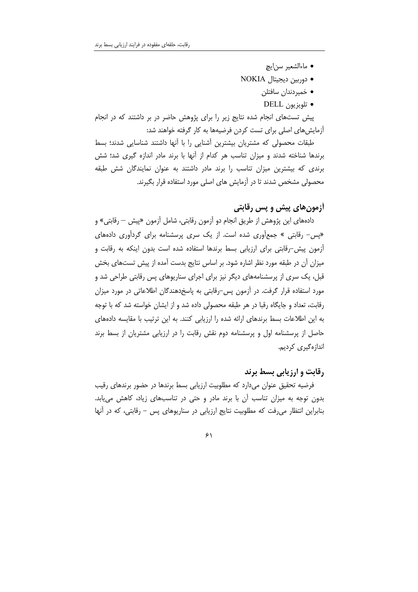- ماءالشعير سن|يچ
- دوربین دیجیتال NOKIA
	- خمیردندان سافتلن
	- تلويزيون DELL

پیش تستهای انجام شده نتایج زیر را برای پژوهش حاضر در بر داشتند که در انجام أزمايش هاي اصلي براي تست كردن فرضيهها به كار گرفته خواهند شد:

طبقات محصولی که مشتریان بیشترین آشنایی را با آنها داشتند شناسایی شدند؛ بسط برندها شناخته شدند و میزان تناسب هر کدام از آنها با برند مادر اندازه گیری شد؛ شش برندی که بیشترین میزان تناسب را برند مادر داشتند به عنوان نمایندگان شش طبقه محصولی مشخص شدند تا در آزمایش های اصلی مورد استفاده قرار بگیرند.

## **آزمونهای پیش و پس رقابتی**

دادههای این پژوهش از طریق انجام دو آزمون رقابتی، شامل آزمون «پیش — رقابتی» و «پس- رقابتی » جمعآوری شده است. از یک سری پرسشنامه برای گردآوری دادههای آزمون پیش–رقابتی برای ارزیابی بسط برندها استفاده شده است بدون اینکه به رقابت و میزان أن در طبقه مورد نظر اشاره شود. بر اساس نتایج بدست آمده از پیش تستهای بخش قبل، یک سری از پرسشنامههای دیگر نیز برای اجرای سناریوهای پس رقابتی طراحی شد و مورد استفاده قرار گرفت. در آزمون پس-رقابتی به پاسخ<هندگان اطلاعاتی در مورد میزان رقابت، تعداد و جایگاه رقبا در هر طبقه محصولی داده شد و از ایشان خواسته شد که با توجه به این اطلاعات بسط برندهای ارائه شده را ارزیابی کنند. به این ترتیب با مقایسه دادههای حاصل از پرسشنامه اول و پرسشنامه دوم نقش رقابت را در ارزیابی مشتریان از بسط برند اندازەگىرى كردىم.

### **رقابت و ارزیابی بسط برند**

فرضیه تحقیق عنوان میدارد که مطلوبیت ارزیابی بسط برندها در حضور برندهای رقیب بدون توجه به میزان تناسب آن با برند مادر و حتی در تناسبهای زیاد، کاهش می یابد. بنابراین انتظار می رفت که مطلوبیت نتایج ارزیابی در سناریوهای پس - رقابتی، که در آنها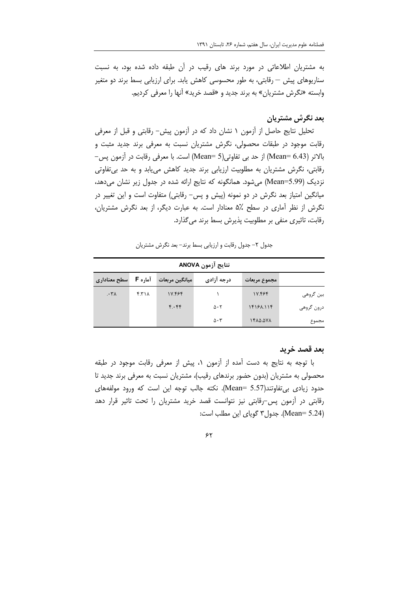به مشتریان اطلاعاتی در مورد برند های رقیب در آن طبقه داده شده بود، به نسبت سناریوهای پیش — رقابتی، به طور محسوسی کاهش یابد. برای ارزیابی بسط برند دو متغیر وابسته «نگرش مشتریان» به برند جدید و «قصد خرید» آنها را معرفی کردیم.

### بعد نگرش مشتریان

تحلیل نتایج حاصل از آزمون ١ نشان داد که در آزمون پیش- رقابتی و قبل از معرفی رقابت موجود در طبقات محصولی، نگرش مشتریان نسبت به معرفی برند جدید مثبت و بالاتر (Mean= 6.43) از حد بی تفاوتی(Mean= 5) است. با معرفی رقابت در آزمون پس– رقابتی، نگرش مشتریان به مطلوبیت ارزیابی برند جدید کاهش می یابد و به حد بی تفاوتی نزدیک (Mean=5.99) میشود. همانگونه که نتایج ارائه شده در جدول زیر نشان می دهد، میانگین امتیاز بعد نگرش در دو نمونه (پیش و پس– رقابتی) متفاوت است و این تغییر در نگرش از نظر اَماری در سطح ۵٪ معنادار است. به عبارت دیگر، از بعد نگرش مشتریان، رقابت، تاثیری منفی بر مطلوبیت پذیرش بسط برند می گذارد.

جدول ٢- جدول رقابت و ارزيابي بسط برند- بعد نكرش مشتريان

| نتايج آزمون ANOVA |              |                     |                |         |                     |  |  |
|-------------------|--------------|---------------------|----------------|---------|---------------------|--|--|
|                   | مجموع مربعات | درجه آزادی          | ميانگين مربعات | آماره F | سطح معناداری        |  |  |
| بین گروهی         | 17.484       |                     | 1Y.F9F         | f.71    | $\cdot$ ۳ $\Lambda$ |  |  |
| درون گروهي        | 15151.115    | $\Delta \cdot 5$    | F.FF           |         |                     |  |  |
| مجموع             | ۱۴۸۵.۵۷۸     | $\Delta \cdot \tau$ |                |         |                     |  |  |

#### بعد قصد خريد

با توجه به نتايج به دست آمده از آزمون ١، پيش از معرفي رقابت موجود در طبقه محصولی به مشتریان (بدون حضور برندهای رقیب)، مشتریان نسبت به معرفی برند جدید تا حدود زيادى بي تفاوتند(Mean= 5.57). نكته جالب توجه اين است كه ورود مولفههاى رقابتی در آزمون پس-رقابتی نیز نتوانست قصد خرید مشتریان را تحت تاثیر قرار دهد (Mean= 5.24). جدول ۳ گویای این مطلب است: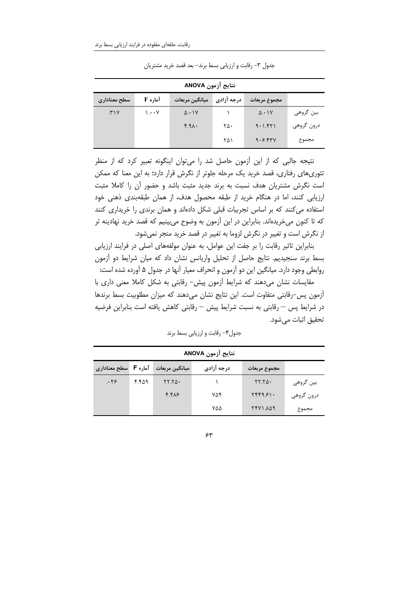| نتايج آزمون ANOVA |                                       |                   |            |              |            |  |
|-------------------|---------------------------------------|-------------------|------------|--------------|------------|--|
| سطح معناداری      | آماره F                               | ميانگين مربعات    | درجه آزادی | مجموع مربعات |            |  |
| .71Y              | $\mathcal{N} \cdot \cdot \mathcal{N}$ | $\Delta \cdot 1V$ |            | 0.1          | بین گروهی  |  |
|                   |                                       | f.A.              | ۲۵۰        | 9.1.571      | درون گروهي |  |
|                   |                                       |                   | ۲۵۱        | 9.5.54V      | مجموع      |  |

جدول ٣- رقابت وارزيابي بسط برند- بعد قصد خريد مشتريان

نتیجه جالبی که از این آزمون حاصل شد را میتوان اینگونه تعبیر کرد که از منظر تئوری های رفتاری، قصد خرید یک مرحله جلوتر از نگرش قرار دارد؛ به این معنا که ممکن است نگرش مشتریان هدف نسبت به برند جدید مثبت باشد و حضور آن را کاملا مثبت ارزیابی کنند، اما در هنگام خرید از طبقه محصول هدف، از همان طبقهبندی ذهنی خود استفاده می کنند که بر اساس تجربیات قبلی شکل دادهاند و همان برندی را خریداری کنند که تا کنون میخریدهاند. بنابراین در این آزمون به وضوح می,بینیم که قصد خرید نهادینه تر از نگرش است و تغییر در نگرش لزوما به تغییر در قصد خرید منجر نمی شود.

بنابراین تاثیر رقابت را بر جفت این عوامل، به عنوان مولفههای اصلی در فرایند ارزیابی بسط برند سنجیدیم. نتایج حاصل از تحلیل واریانس نشان داد که میان شرایط دو آزمون روابطی وجود دارد. میانگین این دو آزمون و انحراف معیار آنها در جدول ۵ آورده شده است:

مقایسات نشان میدهند که شرایط آزمون پیش- رقابتی به شکل کاملا معنی داری با أزمون پس–رقابتی متفاوت است. این نتایج نشان میدهند که میزان مطلوبیت بسط برندها در شرايط پس – رقابتي به نسبت شرايط پيش – رقابتي كاهش يافته است بنابراين فرضيه تحقيق اثبات مے شود.

| نتايج ازمون ANOVA           |       |                |            |                                                  |            |  |
|-----------------------------|-------|----------------|------------|--------------------------------------------------|------------|--|
| آماره <b>F</b> سطح معناداری |       | ميانگين مربعات | درجه آزادی | مجموع مربعات                                     |            |  |
| .79                         | ۴.۴۵۹ | $YY.Y\Delta$   |            | $\mathsf{Y}\mathsf{Y}.\mathsf{Y}\mathsf{Q}\cdot$ | بین گروهی  |  |
|                             |       | $f.f\lambda$ ۶ | ۷۵۴        | YFF9.81.                                         | درون گروهي |  |
|                             |       |                | ۷۵۵        | 161.1797                                         | مجموع      |  |

جدول۴– رقابت و ارزیابی بسط برند

 $\gamma$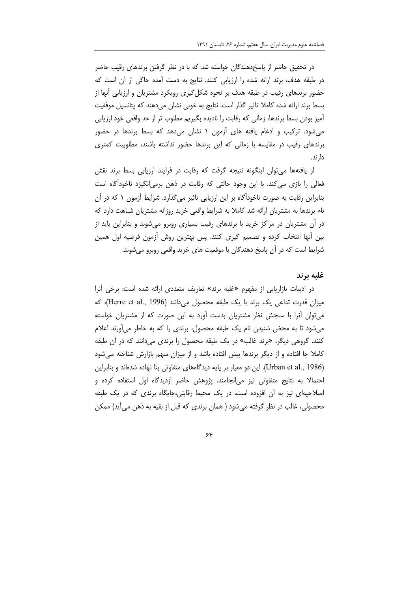در تحقیق حاضر از پاسخدهندگان خواسته شد که با در نظر گرفتن برندهای رقیب حاضر در طبقه هدف، برند ارائه شده را ارزیابی کنند. نتایج به دست آمده حاکی از آن است که حضور برندهای رقیب در طبقه هدف بر نحوه شکل5یری رویکرد مشتریان و ارزیابی آنها از بسط برند ارائه شده كاملا تاثير گذار است. نتايج به خوبي نشان ميدهند كه پتانسيل موفقيت آمیز بودن بسط برندها، زمانی که رقابت را نادیده بگیریم مطلوب تر از حد واقعی خود ارزیابی می شود. ترکیب و ادغام یافته های آزمون ۱ نشان می دهد که بسط برندها در حضور برندهای رقیب در مقایسه با زمانی که این برندها حضور نداشته باشند، مطلوبیت کمتری دار ند.

از یافتهها می توان اینگونه نتیجه گرفت که رقابت در فرایند ارزیابی بسط برند نقش فعالی را بازی می کند. با این وجود حالتی که رقابت در ذهن برمی|نگیزد ناخود|گاه است بنابراین رقابت به صورت ناخوداًگاه بر این ارزیابی تاثیر می¢ذارد. شرایط اّزمون ۱ که در آن نام برندها به مشتریان ارائه شد کاملا به شرایط واقعی خرید روزانه مشتریان شباهت دارد که در آن مشتریان در مراکز خرید با برندهای رقیب بسیاری روبرو می شوند و بنابراین باید از بین أنها انتخاب کرده و تصمیم گیری کنند. پس بهترین روش أزمون فرضیه اول همین شرایط است که در آن پاسخ دهندگان با موقعیت های خرید واقعی روبرو میشوند.

#### غلبه برند

در ادبیات بازاریابی از مفهوم «غلبه برند» تعاریف متعددی ارائه شده است: برخی آنرا میزان قدرت تداعی یک برند با یک طبقه محصول می دانند (Herre et al., 1996)، که می توان آنرا با سنجش نظر مشتریان بدست آورد به این صورت که از مشتریان خواسته می شود تا به محض شنیدن نام یک طبقه محصول، برندی را که به خاطر می آورند اعلام کنند. گروهی دیگر، «برند غالب» در یک طبقه محصول را برندی میدانند که در آن طبقه کاملا جا افتاده و از دیگر برندها پیش افتاده باشد و از میزان سهم بازارش شناخته می شود (Urban et al., 1986). این دو معیار بر پایه دیدگامهای متفاوتی بنا نهاده شدهاند و بنابراین احتمالا به نتایج متفاوتی نیز می|نجامند. پژوهش حاضر ازدیدگاه اول استفاده کرده و اصلاحیهای نیز به آن افزوده است. در یک محیط رقابتی،جایگاه برندی که در یک طبقه محصولی، غالب در نظر گرفته میشود ( همان برندی که قبل از بقیه به ذهن می آید) ممکن

#### $\epsilon$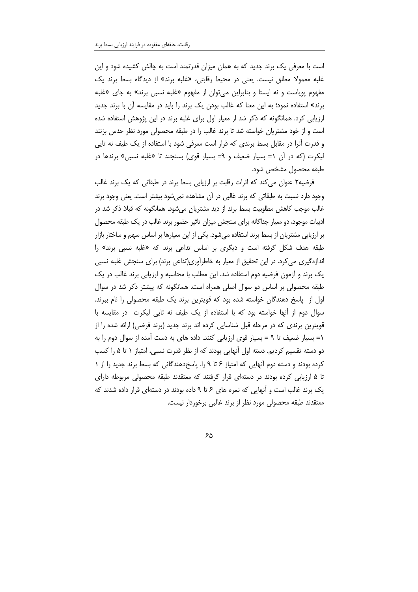است با معرفی یک برند جدید که به همان میزان قدرتمند است به چالش کشیده شود و این غلبه معمولا مطلق نیست. یعنی در محیط رقابتی، «غلبه برند» از دیدگاه بسط برند یک مفهوم پوياست و نه ايستا و بنابراين مي توان از مفهوم «غلبه نسبي برند» به جاي «غلبه برند» استفاده نمود؛ به این معنا که غالب بودن یک برند را باید در مقایسه آن با برند جدید ارزیابی کرد. همانگونه که ذکر شد از معیار اول برای غلبه برند در این پژوهش استفاده شده است و از خود مشتریان خواسته شد تا برند غالب را در طبقه محصولی مورد نظر حدس بزنند و قدرت أنرا در مقابل بسط برندی که قرار است معرفی شود با استفاده از یک طیف نه تایی ليكرت (كه در آن ١= بسيار ضعيف و ٩= بسيار قوى) بسنجند تا «غلبه نسبي» برندها در طبقه محصول مشخص شود.

فرضیه۲ عنوان می کند که اثرات رقابت بر ارزیابی بسط برند در طبقاتی که یک برند غالب وجود دارد نسبت به طبقاتی که برند غالبی در آن مشاهده نمی شود بیشتر است. یعنی وجود برند غالب موجب کاهش مطلوبیت بسط برند از دید مشتریان میشود. همانگونه که قبلا ذکر شد در ادبیات موجود، دو معیار جداگانه برای سنجش میزان تاثیر حضور برند غالب در یک طبقه محصول بر ارزیابی مشتریان از بسط برند استفاده میشود. یکی از این معیارها بر اساس سهم و ساختار بازار طبقه هدف شکل گرفته است و دیگری بر اساس تداعی برند که «غلبه نسبی برند» را اندازهگیری می کرد. در این تحقیق از معیار به خاطرآوری(تداعی برند) برای سنجش غلبه نسبی یک برند و اّزمون فرضیه دوم استفاده شد. این مطلب با محاسبه و ارزیابی برند غالب در یک طبقه محصولی بر اساس دو سوال اصلی همراه است. همانگونه که پیشتر ذکر شد در سوال اول از پاسخ دهندگان خواسته شده بود که قویترین برند یک طبقه محصولی را نام ببرند. سوال دوم از آنها خواسته بود که با استفاده از یک طیف نه تایی لیکرت ٍ در مقایسه با قویترین برندی که در مرحله قبل شناسایی کرده اند برند جدید (برند فرضی) ارائه شده را از ١= بسيار ضعيف تا ٩ = بسيار قوى ارزيابي كنند. داده هاى به دست آمده از سوال دوم را به دو دسته تقسیم کردیم. دسته اول آنهایی بودند که از نظر قدرت نسبی، امتیاز ۱ تا ۵ را کسب کرده بودند و دسته دوم آنهایی که امتیاز ۶ تا ۹ را. پاسخدهندگانی که بسط برند جدید را از ۱ تا ۵ ارزیابی کرده بودند در دستهای قرار گرفتند که معتقدند طبقه محصولی مربوطه دارای یک برند غالب است و آنهایی که نمره های ۶ تا ۹ داده بودند در دستهای قرار داده شدند که معتقدند طبقه محصولی مورد نظر از برند غالبی برخوردار نیست.

۶۵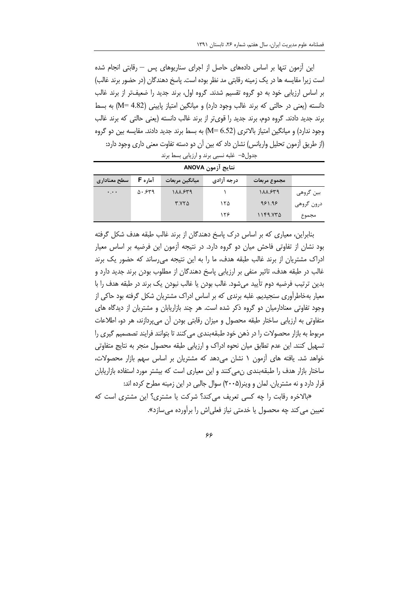این اُزمون تنها بر اساس دادههای حاصل از اجرای سناریوهای پس — رقابتی انجام شده است زیرا مقایسه ها در یک زمینه رقابتی مد نظر بوده است. پاسخ دهندگان (در حضور برند غالب) بر اساس ارزیابی خود به دو گروه تقسیم شدند. گروه اول، برند جدید را ضعیفتر از برند غالب دانسته (یعنی در حالتی که برند غالب وجود دارد) و میانگین امتیاز پایینی (M= 4.82) به بسط برند جدید دادند. گروه دوم، برند جدید را قویتر از برند غالب دانسته (یعنی حالتی که برند غالب وجود ندارد) و میانگین امتیاز بالاتری (M= 6.52) به بسط برند جدید دادند. مقایسه بین دو گروه (از طریق اّزمون تحلیل واریانس) نشان داد که بین اّن دو دسته تفاوت معنی داری وجود دارد:

| نتايج آزمون ANOVA |                  |                 |            |              |            |  |
|-------------------|------------------|-----------------|------------|--------------|------------|--|
| سطح معناداری      | آماره F          | 'میانگین مربعات | درجه آزادی | مجموع مربعات |            |  |
| $\ddotsc$         | $\Delta$ . $549$ | 188.859         |            | 188.889      | بین گروهی  |  |
|                   |                  | $T.YY \Delta$   | ۱۲۵        | 981.98       | درون گروهي |  |
|                   |                  |                 | ۱۲۶        | 1159.572     | مجموع      |  |

جدول۵– غلبه نسبی برند و ارزیابی بسط برند

بنابراین، معیاری که بر اساس درک پاسخ دهندگان از برند غالب طبقه هدف شکل گرفته بود نشان از تفاوتی فاحش میان دو گروه دارد. در نتیجه آزمون این فرضیه بر اساس معیار ادراک مشتریان از برند غالب طبقه هدف، ما را به این نتیجه می رساند که حضور یک برند غالب در طبقه هدف، تاثیر منفی بر ارزیابی پاسخ دهندگان از مطلوب بودن برند جدید دارد و بدین ترتیب فرضیه دوم تأیید میشود. غالب بودن یا غالب نبودن یک برند در طبقه هدف را با معیار بهخاطرآوری سنجیدیم. غلبه برندی که بر اساس ادراک مشتریان شکل گرفته بود حاکی از وجود تفاوتی معنادارمیان دو گروه ذکر شده است. هر چند بازاریابان و مشتریان از دیدگاه های متفاوتی به ارزیابی ساختار طبقه محصول و میزان رقابتی بودن آن می پردازند، هر دو، اطلاعات مربوط به بازار محصولات را در ذهن خود طبقهبندی می کنند تا بتوانند فرایند تصصمیم گیری را تسهیل کنند. این عدم تطابق میان نحوه ادراک و ارزیابی طبقه محصول منجر به نتایج متفاوتی خواهد شد. یافته های آزمون ۱ نشان می دهد که مشتریان بر اساس سهم بازار محصولات، ساختار بازار هدف را طبقهبندی ن.میکنند و این معیاری است که بیشتر مورد استفاده بازاریابان قرار دارد و نه مشتریان. لمان و وینر(۲۰۰۵) سوال جالبی در این زمینه مطرح کرده اند:

«بالاخره رقابت را چه کسی تعریف می کند؟ شرکت یا مشتری؟ این مشتری است که تعیین می کند چه محصول یا خدمتی نیاز فعلیاش را برآورده می سازد».

۶۶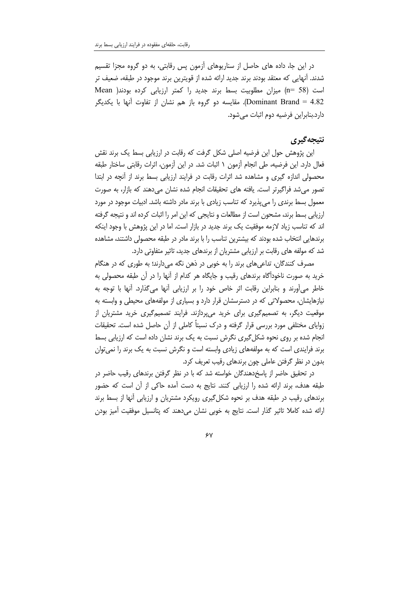در این جا، داده های حاصل از سناریوهای آزمون پس رقابتی، به دو گروه مجزا تقسیم شدند. اًنهایی که معتقد بودند برند جدید ارائه شده از قویترین برند موجود در طبقه، ضعیف تر است (58 =n) ميزان مطلوبيت بسط برند جديد را كمتر ارزيابي كرده بودند( Mean Dominant Brand = 4.82). مقايسه دو گروه باز هم نشان از تفاوت آنها با يكديگر دارد.بنابراین فرضیه دوم اثبات مے شود.

## نتيجه گيري

این پژوهش حول این فرضیه اصلی شکل گرفت که رقابت در ارزیابی بسط یک برند نقش فعال دارد. این فرضیه، طی انجام اّزمون ۱ اثبات شد. در این اّزمون، اثرات رقابتی ساختار طبقه محصولی اندازه گیری و مشاهده شد اثرات رقابت در فرایند ارزیابی بسط برند از آنچه در ابتدا تصور مے شد فراگیرتر است. یافته های تحقیقات انجام شده نشان مے دهند که بازار، به صورت معمول بسط برندی را می پذیرد که تناسب زیادی با برند مادر داشته باشد. ادبیات موجود در مورد ارزیابی بسط برند، مشحون است از مطالعات و نتایجی که این امر را اثبات کرده اند و نتیجه گرفته اند که تناسب زیاد لازمه موفقیت یک برند جدید در بازار است. اما در این پژوهش با وجود اینکه برندهایی انتخاب شده بودند که بیشترین تناسب را با برند مادر در طبقه محصولی داشتند، مشاهده شد که مولفه های رقابت بر ارزیابی مشتریان از برندهای جدید، تاثیر متفاوتی دارد.

مصرف کنندگان، تداعیهای برند را به خوبی در ذهن نگه میدارند؛ به طوری که در هنگام خرید به صورت ناخودآگاه برندهای رقیب و جایگاه هر کدام از آنها را در آن طبقه محصولی به خاطر می آورند و بنابراین رقابت اثر خاص خود را بر ارزیابی آنها می گذارد. آنها با توجه به نیازهایشان، محصولاتی که در دسترسشان قرار دارد و بسیاری از مولفههای محیطی و وابسته به موقعیت دیگر، به تصمیمگیری برای خرید میپردازند. فرایند تصمیمگیری خرید مشتریان از زوایای مختلفی مورد بررسی قرار گرفته و درک نسبتاً کاملی از آن حاصل شده است. تحقیقات انجام شده بر روی نحوه شکل گیری نگرش نسبت به یک برند نشان داده است که ارزیابی بسط برند فرایندی است که به مولفههای زیادی وابسته است و نگرش نسبت به یک برند را نمی توان بدون در نظر گرفتن عاملی چون برندهای رقیب تعریف کرد.

در تحقیق حاضر از پاسخدهندگان خواسته شد که با در نظر گرفتن برندهای رقیب حاضر در طبقه هدف، برند ارائه شده را ارزیابی کنند. نتایج به دست آمده حاکی از آن است که حضور برندهای رقیب در طبقه هدف بر نحوه شکلگیری رویکرد مشتریان و ارزیابی آنها از بسط برند ارائه شده کاملا تاثیر گذار است. نتایج به خوبی نشان میدهند که پتانسیل موفقیت آمیز بودن

 $\gamma$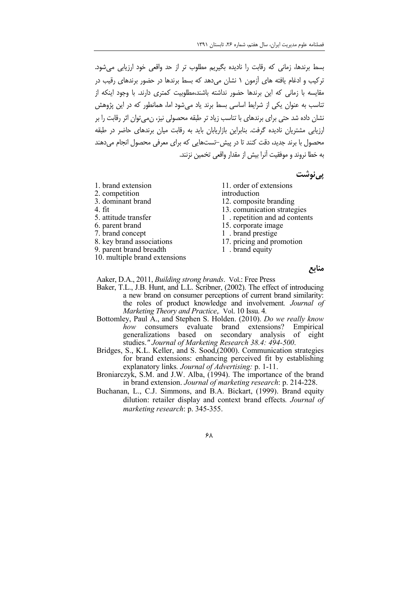بسط برندها، زمانی که رقابت را نادیده بگیریم مطلوب تر از حد واقعی خود ارزیابی می شود. ترکیب و ادغام یافته های آزمون ۱ نشان می دهد که بسط برندها در حضور برندهای رقیب در مقایسه با زمانی که این برندها حضور نداشته باشند،مطلوبیت کمتری دارند. با وجود اینکه از ۔<br>تناسب به عنوان یکی از شرایط اساسی بسط برند یاد مے شود اما، همانطور که در این پژوهش نشان داده شد حتی برای برندهای با تناسب زیاد تر طبقه محصولی نیز، ن می توان اثر رقابت را بر ارزیابی مشتریان نادیده گرفت. بنابراین بازاریابان باید به رقابت میان برندهای حاضر در طبقه محصول با برند جدید، دقت کنند تا در پیش-تستهایی که برای معرفی محصول انجام می دهند به خطا نروند و موفقیت آنرا پیش از مقدار واقعی تخمین نزنند.

یے نوشت

- 1. brand extension
- 2. competition
- 3. dominant brand
- 4. fit
- 5. attitude transfer
- 6. parent brand
- 7. brand concept
- 8. key brand associations
- 9. parent brand breadth
- 10. multiple brand extensions
- 11. order of extensions
- introduction
- 12. composite branding
- 13. comunication strategies
- 1 . repetition and ad contents
- 15. corporate image
- 1 . brand prestige
- 17. pricing and promotion
- 1 . brand equity

منابع

Aaker, D.A., 2011, Building strong brands. Vol.: Free Press

- Baker, T.L., J.B. Hunt, and L.L. Scribner, (2002). The effect of introducing a new brand on consumer perceptions of current brand similarity: the roles of product knowledge and involvement. Journal of Marketing Theory and Practice, Vol. 10 Issu. 4.
- Bottomley, Paul A., and Stephen S. Holden. (2010). Do we really know how consumers evaluate brand extensions? Empirical generalizations based on secondary analysis of eight<br>studies." Journal of Marketing Research 38.4: 494-500.<br>Bridges, S., K.L. Keller, and S. Sood,(2000). Communication strategies
- for brand extensions: enhancing perceived fit by establishing explanatory links. Journal of Advertising: p. 1-11.
- Broniarczyk, S.M. and J.W. Alba, (1994). The importance of the brand in brand extension. Journal of marketing research: p. 214-228.
- Buchanan, L., C.J. Simmons, and B.A. Bickart, (1999). Brand equity dilution: retailer display and context brand effects. Journal of marketing research: p. 345-355.

 $5\lambda$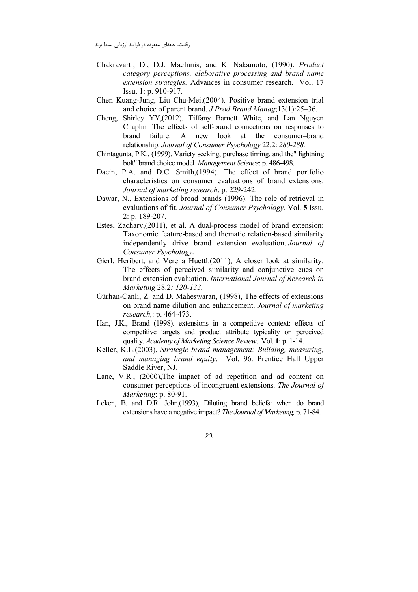- Chakravarti, D., D.J. MacInnis, and K. Nakamoto, (1990). Product category perceptions, elaborative processing and brand name extension strategies. Advances in consumer research. Vol. 17 Issu. 1: p. 910-917.
- Chen Kuang-Jung, Liu Chu-Mei. (2004). Positive brand extension trial and choice of parent brand. J Prod Brand Manag; 13(1):25-36.
- Shirley YY, (2012). Tiffany Barnett White, and Lan Nguyen Cheng, Chaplin. The effects of self-brand connections on responses to brand failure: A new look at the consumer-brand relationship. Journal of Consumer Psychology 22.2: 280-288.
- Chintagunta, P.K., (1999). Variety seeking, purchase timing, and the lightning bolt" brand choice model. Management Science: p. 486-498.
- Dacin, P.A. and D.C. Smith, (1994). The effect of brand portfolio characteristics on consumer evaluations of brand extensions. Journal of marketing research: p. 229-242.
- Dawar, N., Extensions of broad brands (1996). The role of retrieval in evaluations of fit. Journal of Consumer Psychology. Vol. 5 Issu.  $2: p. 189 - 207.$
- Estes, Zachary, (2011), et al. A dual-process model of brand extension: Taxonomic feature-based and thematic relation-based similarity independently drive brand extension evaluation. Journal of Consumer Psychology.
- Gierl, Heribert, and Verena Huettl.(2011), A closer look at similarity: The effects of perceived similarity and conjunctive cues on brand extension evaluation. International Journal of Research in Marketing 28.2: 120-133.
- Gürhan-Canli, Z. and D. Maheswaran, (1998), The effects of extensions on brand name dilution and enhancement. Journal of marketing research.: p. 464-473.
- Han, J.K., Brand (1998), extensions in a competitive context: effects of competitive targets and product attribute typicality on perceived quality. Academy of Marketing Science Review. Vol. 1: p. 1-14.
- Keller, K.L.(2003), Strategic brand management: Building, measuring, and managing brand equity. Vol. 96. Prentice Hall Upper Saddle River, NJ.
- Lane, V.R., (2000). The impact of ad repetition and ad content on consumer perceptions of incongruent extensions. The Journal of Marketing: p. 80-91.
- Loken, B. and D.R. John,(1993), Diluting brand beliefs: when do brand extensions have a negative impact? The Journal of Marketing, p. 71-84.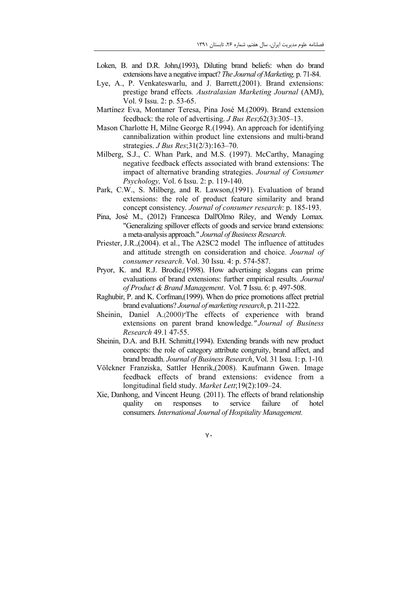- Loken, B. and D.R. John, (1993), Diluting brand beliefs: when do brand extensions have a negative impact? The Journal of Marketing, p. 71-84.
- Lye, A., P. Venkateswarlu, and J. Barrett, (2001). Brand extensions: prestige brand effects. Australasian Marketing Journal (AMJ), Vol. 9 Issu. 2: p. 53-65.
- Martínez Eva, Montaner Teresa, Pina José M.(2009). Brand extension feedback: the role of advertising.  $JBus Res(62(3):305-13)$ .
- Mason Charlotte H, Milne George R. (1994). An approach for identifying cannibalization within product line extensions and multi-brand strategies. *J Bus Res*;  $31(2/3)$ :  $163-70$ .
- Milberg, S.J., C. Whan Park, and M.S. (1997). McCarthy, Managing negative feedback effects associated with brand extensions: The impact of alternative branding strategies. Journal of Consumer Psychology, Vol. 6 Issu. 2: p. 119-140.
- Park, C.W., S. Milberg, and R. Lawson, (1991). Evaluation of brand extensions: the role of product feature similarity and brand concept consistency. Journal of consumer research: p. 185-193.
- Pina, José M., (2012) Francesca Dall'Olmo Riley, and Wendy Lomax. "Generalizing spillover effects of goods and service brand extensions: a meta-analysis approach." Journal of Business Research.
- Priester, J.R., (2004). et al., The A2SC2 model The influence of attitudes and attitude strength on consideration and choice. Journal of consumer research. Vol. 30 Issu. 4: p. 574-587.
- Pryor, K. and R.J. Brodie, (1998). How advertising slogans can prime evaluations of brand extensions: further empirical results. Journal of Product & Brand Management. Vol. 7 Issu. 6: p. 497-508.
- Raghubir, P. and K. Corfman (1999). When do price promotions affect pretrial brand evaluations? Journal of marketing research, p. 211-222.
- Sheinin. Daniel A.(2000) The effects of experience with brand extensions on parent brand knowledge." Journal of Business Research 49.1 47-55.
- Sheinin, D.A. and B.H. Schmitt, (1994). Extending brands with new product concepts: the role of category attribute congruity, brand affect, and brand breadth. *Journal of Business Research*, Vol. 31 Issu. 1: p. 1-10.
- Völckner Franziska, Sattler Henrik, (2008). Kaufmann Gwen. Image feedback effects of brand extensions: evidence from a longitudinal field study. Market Lett; 19(2): 109-24.
- Xie, Danhong, and Vincent Heung. (2011). The effects of brand relationship quality on responses to service failure of hotel consumers. International Journal of Hospitality Management.